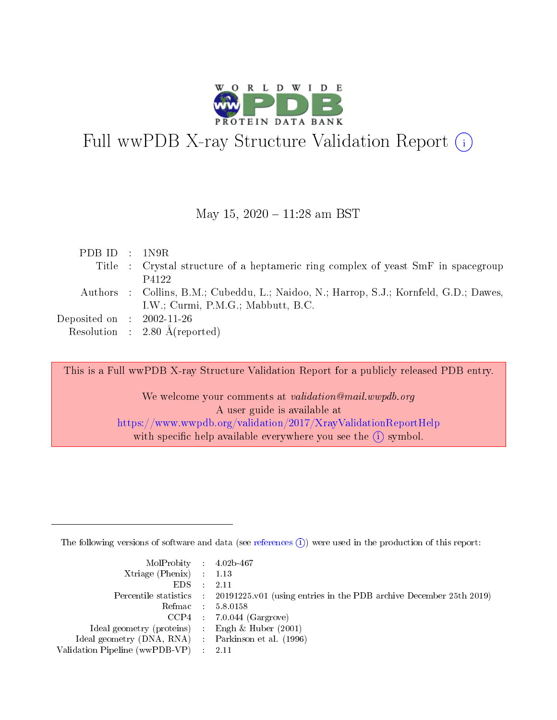

## Full wwPDB X-ray Structure Validation Report  $(i)$

### May 15, 2020 - 11:28 am BST

| PDB ID : $1N9R$                |                                                                                        |
|--------------------------------|----------------------------------------------------------------------------------------|
|                                | Title : Crystal structure of a heptameric ring complex of yeast SmF in spacegroup      |
|                                | P4122                                                                                  |
|                                | Authors : Collins, B.M.; Cubeddu, L.; Naidoo, N.; Harrop, S.J.; Kornfeld, G.D.; Dawes, |
|                                | I.W.; Curmi, $P.M.G.$ ; Mabbutt, $B.C.$                                                |
| Deposited on $\;$ : 2002-11-26 |                                                                                        |
|                                | Resolution : $2.80 \text{ Å}$ (reported)                                               |

This is a Full wwPDB X-ray Structure Validation Report for a publicly released PDB entry.

We welcome your comments at *validation@mail.wwpdb.org* A user guide is available at <https://www.wwpdb.org/validation/2017/XrayValidationReportHelp> with specific help available everywhere you see the  $(i)$  symbol.

The following versions of software and data (see [references](https://www.wwpdb.org/validation/2017/XrayValidationReportHelp#references)  $(i)$ ) were used in the production of this report:

| $MolProbability$ 4.02b-467                          |                                                                                            |
|-----------------------------------------------------|--------------------------------------------------------------------------------------------|
| Xtriage (Phenix) $: 1.13$                           |                                                                                            |
| EDS -                                               | -2.11                                                                                      |
|                                                     | Percentile statistics : 20191225.v01 (using entries in the PDB archive December 25th 2019) |
|                                                     | Refmac 58.0158                                                                             |
|                                                     | $CCP4$ : 7.0.044 (Gargrove)                                                                |
| Ideal geometry (proteins) : Engh $\&$ Huber (2001)  |                                                                                            |
| Ideal geometry (DNA, RNA) : Parkinson et al. (1996) |                                                                                            |
| Validation Pipeline (wwPDB-VP) :                    | -2.11                                                                                      |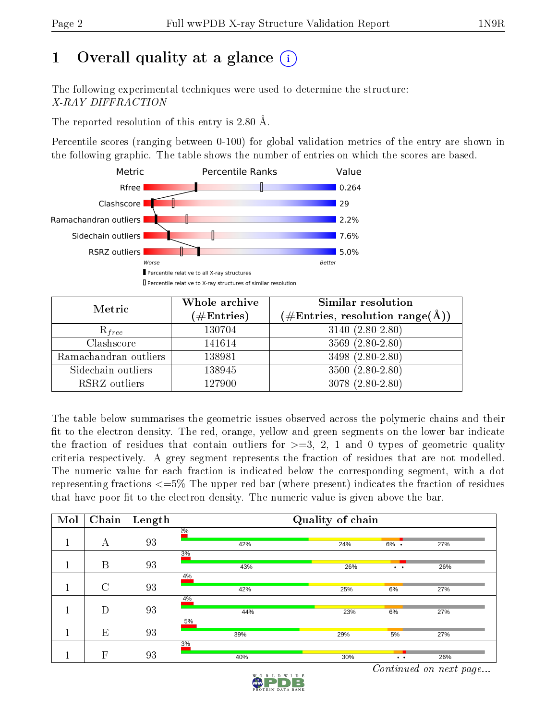## 1 [O](https://www.wwpdb.org/validation/2017/XrayValidationReportHelp#overall_quality)verall quality at a glance  $(i)$

The following experimental techniques were used to determine the structure: X-RAY DIFFRACTION

The reported resolution of this entry is 2.80 Å.

Percentile scores (ranging between 0-100) for global validation metrics of the entry are shown in the following graphic. The table shows the number of entries on which the scores are based.



| Metric                | Whole archive<br>$(\#\mathrm{Entries})$ | Similar resolution<br>$(\#\text{Entries},\, \text{resolution}\; \text{range}(\textup{\AA}))$ |
|-----------------------|-----------------------------------------|----------------------------------------------------------------------------------------------|
| $R_{free}$            | 130704                                  | $3140 (2.80 - 2.80)$                                                                         |
| Clashscore            | 141614                                  | $3569(2.80-2.80)$                                                                            |
| Ramachandran outliers | 138981                                  | 3498 (2.80-2.80)                                                                             |
| Sidechain outliers    | 138945                                  | $3500(2.80-2.80)$                                                                            |
| RSRZ outliers         | 127900                                  | $3078(2.80-2.80)$                                                                            |

The table below summarises the geometric issues observed across the polymeric chains and their fit to the electron density. The red, orange, yellow and green segments on the lower bar indicate the fraction of residues that contain outliers for  $>=3, 2, 1$  and 0 types of geometric quality criteria respectively. A grey segment represents the fraction of residues that are not modelled. The numeric value for each fraction is indicated below the corresponding segment, with a dot representing fractions <=5% The upper red bar (where present) indicates the fraction of residues that have poor fit to the electron density. The numeric value is given above the bar.

| Mol | Chain   | Length | Quality of chain |     |                      |     |  |  |
|-----|---------|--------|------------------|-----|----------------------|-----|--|--|
|     | А       | 93     | 20/6<br>42%      | 24% | $6\%$ .              | 27% |  |  |
|     | B       | 93     | 3%<br>43%        | 26% | $\ddot{\phantom{0}}$ | 26% |  |  |
|     | $\rm C$ | 93     | 4%<br>42%        | 25% | 6%                   | 27% |  |  |
|     | D       | 93     | 4%<br>44%        | 23% | 6%                   | 27% |  |  |
|     | E       | 93     | 5%<br>39%        | 29% | 5%                   | 27% |  |  |
|     | F       | 93     | 3%<br>40%        | 30% | $\bullet\quadbullet$ | 26% |  |  |

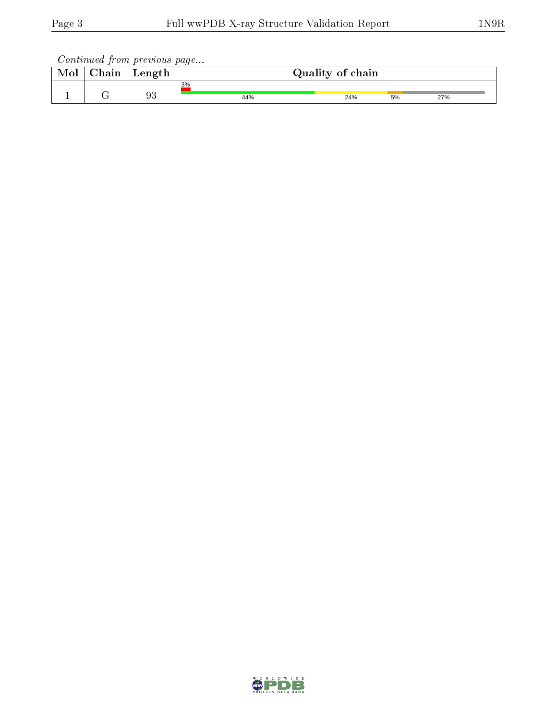| Mol | $\sim$ 1<br>hoin<br>uan | Length | Quality of chain |     |    |     |  |  |  |
|-----|-------------------------|--------|------------------|-----|----|-----|--|--|--|
|     |                         |        | 3%               |     |    |     |  |  |  |
|     |                         | 93     | 44%              | 24% | 5% | 27% |  |  |  |

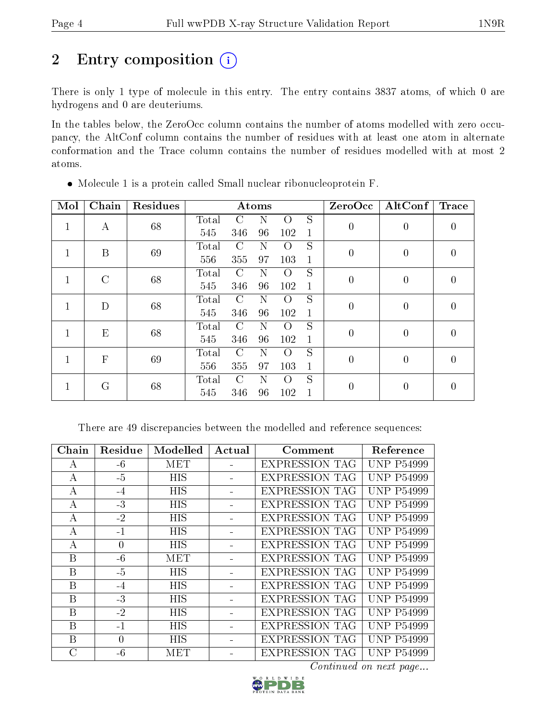## 2 Entry composition  $(i)$

There is only 1 type of molecule in this entry. The entry contains 3837 atoms, of which 0 are hydrogens and 0 are deuteriums.

In the tables below, the ZeroOcc column contains the number of atoms modelled with zero occupancy, the AltConf column contains the number of residues with at least one atom in alternate conformation and the Trace column contains the number of residues modelled with at most 2 atoms.

| Mol | Chain        | <b>Residues</b> | Atoms |               |    |                  |              | ZeroOcc        | AltConf        | <b>Trace</b>     |
|-----|--------------|-----------------|-------|---------------|----|------------------|--------------|----------------|----------------|------------------|
| 1   | А            | 68              | Total | C             | N  | $\Omega$         | S            | $\overline{0}$ | $\overline{0}$ | $\left( \right)$ |
|     |              |                 | 545   | 346           | 96 | 102              | $\mathbf{1}$ |                |                |                  |
|     | B            | 69              | Total | C             | N  | $\Omega$         | S            | $\overline{0}$ | $\overline{0}$ | $\left($         |
|     |              |                 | 556   | 355           | 97 | 103              | $\mathbf{1}$ |                |                |                  |
| 1   | $\rm C$      | 68              | Total | C             | Ν  | $\Omega$         | S            | $\overline{0}$ | $\overline{0}$ | $\left( \right)$ |
|     |              |                 | 545   | 346           | 96 | 102              | $\mathbf{1}$ |                |                |                  |
| 1   | D            | 68              | Total | C             | Ν  | $\left( \right)$ | S            | $\overline{0}$ | $\overline{0}$ | 0                |
|     |              |                 | 545   | 346           | 96 | 102              | $\mathbf{1}$ |                |                |                  |
| 1   | E            | 68              | Total | $\Gamma$      | N  | $\left( \right)$ | S            | $\overline{0}$ | $\overline{0}$ | 0                |
|     |              |                 | 545   | 346           | 96 | 102              | $\mathbf{1}$ |                |                |                  |
| 1   | $\mathbf{F}$ | 69              | Total | C             | Ν  | O                | S            | $\overline{0}$ | $\overline{0}$ | 0                |
|     |              |                 | 556   | 355           | 97 | 103              | $\mathbf{1}$ |                |                |                  |
|     |              | 68<br>G         | Total | $\mathcal{C}$ | N  | O                | S            | 0              | $\overline{0}$ |                  |
|     |              |                 | 545   | 346           | 96 | 102              | 1            |                |                | 0                |

Molecule 1 is a protein called Small nuclear ribonucleoprotein F.

There are 49 discrepancies between the modelled and reference sequences:

| Chain            | Residue  | Modelled   | Actual | Comment               | Reference         |
|------------------|----------|------------|--------|-----------------------|-------------------|
| А                | $-6$     | MET        |        | <b>EXPRESSION TAG</b> | <b>UNP P54999</b> |
| A                | $-5$     | <b>HIS</b> |        | <b>EXPRESSION TAG</b> | <b>UNP P54999</b> |
| $\boldsymbol{A}$ | $-4$     | <b>HIS</b> |        | <b>EXPRESSION TAG</b> | <b>UNP P54999</b> |
| А                | $-3$     | <b>HIS</b> |        | <b>EXPRESSION TAG</b> | <b>UNP P54999</b> |
| А                | $-2$     | <b>HIS</b> |        | <b>EXPRESSION TAG</b> | <b>UNP P54999</b> |
| А                | $-1$     | <b>HIS</b> |        | <b>EXPRESSION TAG</b> | <b>UNP P54999</b> |
| А                | $\theta$ | <b>HIS</b> |        | <b>EXPRESSION TAG</b> | <b>UNP P54999</b> |
| $\mathbf{B}$     | $-6$     | MET        |        | <b>EXPRESSION TAG</b> | <b>UNP P54999</b> |
| B                | $-5$     | <b>HIS</b> |        | <b>EXPRESSION TAG</b> | <b>UNP P54999</b> |
| B                | $-4$     | <b>HIS</b> |        | <b>EXPRESSION TAG</b> | <b>UNP P54999</b> |
| B                | $-3$     | <b>HIS</b> |        | <b>EXPRESSION TAG</b> | <b>UNP P54999</b> |
| B                | $-2$     | <b>HIS</b> |        | <b>EXPRESSION TAG</b> | <b>UNP P54999</b> |
| $\mathbf{B}$     | $-1$     | <b>HIS</b> |        | <b>EXPRESSION TAG</b> | <b>UNP P54999</b> |
| B                | $\Omega$ | <b>HIS</b> |        | <b>EXPRESSION TAG</b> | <b>UNP P54999</b> |
| $\rm C$          | $-6$     | MET        |        | <b>EXPRESSION TAG</b> | <b>UNP P54999</b> |

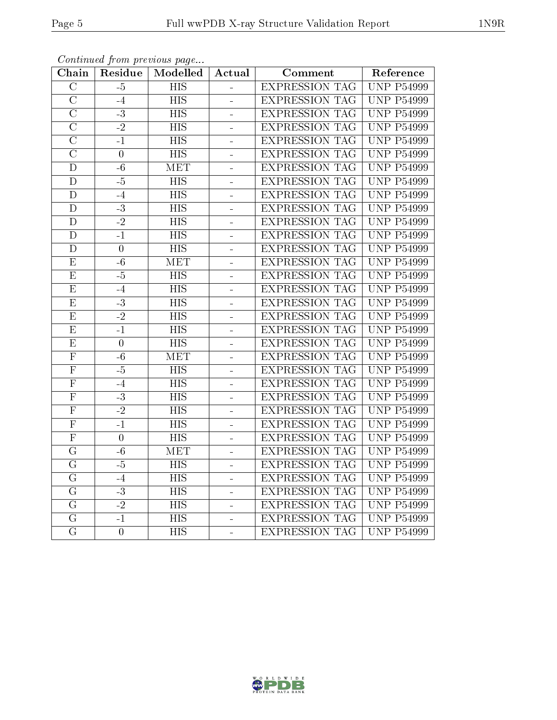| Chain                   | Residue         | Modelled         | Actual         | Comment               | Reference         |
|-------------------------|-----------------|------------------|----------------|-----------------------|-------------------|
| $\overline{C}$          | $-5$            | $\overline{HIS}$ |                | <b>EXPRESSION TAG</b> | <b>UNP P54999</b> |
| $\overline{C}$          | $-4$            | <b>HIS</b>       | $\blacksquare$ | <b>EXPRESSION TAG</b> | <b>UNP P54999</b> |
| $\overline{\rm C}$      | $-3$            | $\overline{HIS}$ |                | <b>EXPRESSION TAG</b> | <b>UNP P54999</b> |
| $\overline{\rm C}$      | $\overline{-2}$ | <b>HIS</b>       | $\blacksquare$ | <b>EXPRESSION TAG</b> | <b>UNP P54999</b> |
| $\overline{\rm C}$      | $-1$            | $\overline{HIS}$ | $\overline{a}$ | <b>EXPRESSION TAG</b> | <b>UNP P54999</b> |
| $\overline{\rm C}$      | $\overline{0}$  | <b>HIS</b>       | ÷,             | <b>EXPRESSION TAG</b> | <b>UNP P54999</b> |
| $\overline{D}$          | $-6$            | <b>MET</b>       | $\overline{a}$ | <b>EXPRESSION TAG</b> | <b>UNP P54999</b> |
| $\overline{D}$          | $-5$            | <b>HIS</b>       | ÷              | <b>EXPRESSION TAG</b> | <b>UNP P54999</b> |
| $\mathbf D$             | $-4$            | <b>HIS</b>       | ÷,             | <b>EXPRESSION TAG</b> | <b>UNP P54999</b> |
| $\overline{\mathrm{D}}$ | $-3$            | $\overline{HIS}$ | ÷              | <b>EXPRESSION TAG</b> | <b>UNP P54999</b> |
| $\overline{D}$          | $-2$            | <b>HIS</b>       | ÷,             | <b>EXPRESSION TAG</b> | <b>UNP P54999</b> |
| $\overline{\rm D}$      | $-1$            | $\overline{HIS}$ | $\overline{a}$ | <b>EXPRESSION TAG</b> | <b>UNP P54999</b> |
| $\overline{D}$          | $\overline{0}$  | $\overline{HIS}$ | ÷              | <b>EXPRESSION TAG</b> | <b>UNP P54999</b> |
| E                       | $-6$            | MET              | L,             | <b>EXPRESSION TAG</b> | <b>UNP P54999</b> |
| $\overline{\mathrm{E}}$ | $-5$            | <b>HIS</b>       | ÷,             | <b>EXPRESSION TAG</b> | <b>UNP P54999</b> |
| ${\bf E}$               | $-4$            | $\overline{HIS}$ | $\blacksquare$ | <b>EXPRESSION TAG</b> | <b>UNP P54999</b> |
| $\overline{\mathrm{E}}$ | $\overline{-3}$ | $\overline{HIS}$ | $\blacksquare$ | <b>EXPRESSION TAG</b> | <b>UNP P54999</b> |
| E                       | $\overline{-2}$ | <b>HIS</b>       | $\overline{a}$ | <b>EXPRESSION TAG</b> | <b>UNP P54999</b> |
| $\overline{\mathrm{E}}$ | $\overline{-1}$ | $\overline{HIS}$ | $\overline{a}$ | <b>EXPRESSION TAG</b> | <b>UNP P54999</b> |
| $\overline{E}$          | $\overline{0}$  | <b>HIS</b>       | $\equiv$       | <b>EXPRESSION TAG</b> | <b>UNP P54999</b> |
| ${\bf F}$               | $-6$            | <b>MET</b>       | $\overline{a}$ | <b>EXPRESSION TAG</b> | <b>UNP P54999</b> |
| $\overline{\mathrm{F}}$ | $-\overline{5}$ | $\overline{HIS}$ | $\blacksquare$ | <b>EXPRESSION TAG</b> | <b>UNP P54999</b> |
| $\overline{\mathrm{F}}$ | $-4$            | <b>HIS</b>       | ÷              | <b>EXPRESSION TAG</b> | <b>UNP P54999</b> |
| $\overline{\mathrm{F}}$ | $-3$            | $\overline{HIS}$ | $\blacksquare$ | <b>EXPRESSION TAG</b> | <b>UNP P54999</b> |
| $\overline{F}$          | $-2$            | <b>HIS</b>       | ÷,             | <b>EXPRESSION TAG</b> | <b>UNP P54999</b> |
| $\overline{\mathrm{F}}$ | $-1$            | $\overline{HIS}$ | ÷,             | <b>EXPRESSION TAG</b> | <b>UNP P54999</b> |
| $\overline{\mathrm{F}}$ | $\overline{0}$  | $\overline{HIS}$ | -              | <b>EXPRESSION TAG</b> | <b>UNP P54999</b> |
| $\overline{G}$          | $-6$            | <b>MET</b>       | $\overline{a}$ | <b>EXPRESSION TAG</b> | <b>UNP P54999</b> |
| $\overline{\mathrm{G}}$ | $-\frac{5}{5}$  | $\overline{HIS}$ | ÷,             | <b>EXPRESSION TAG</b> | <b>UNP P54999</b> |
| $\overline{G}$          | $-4$            | $\overline{HIS}$ | $\blacksquare$ | <b>EXPRESSION TAG</b> | <b>UNP P54999</b> |
| G                       | $-3$            | <b>HIS</b>       | $\blacksquare$ | <b>EXPRESSION TAG</b> | <b>UNP P54999</b> |
| $\overline{G}$          | $-2$            | <b>HIS</b>       | ä,             | <b>EXPRESSION TAG</b> | <b>UNP P54999</b> |
| $\overline{\mathrm{G}}$ | $-1$            | <b>HIS</b>       | ÷              | <b>EXPRESSION TAG</b> | <b>UNP P54999</b> |
| $\overline{\mathrm{G}}$ | $\overline{0}$  | $\overline{HIS}$ |                | <b>EXPRESSION TAG</b> | <b>UNP P54999</b> |

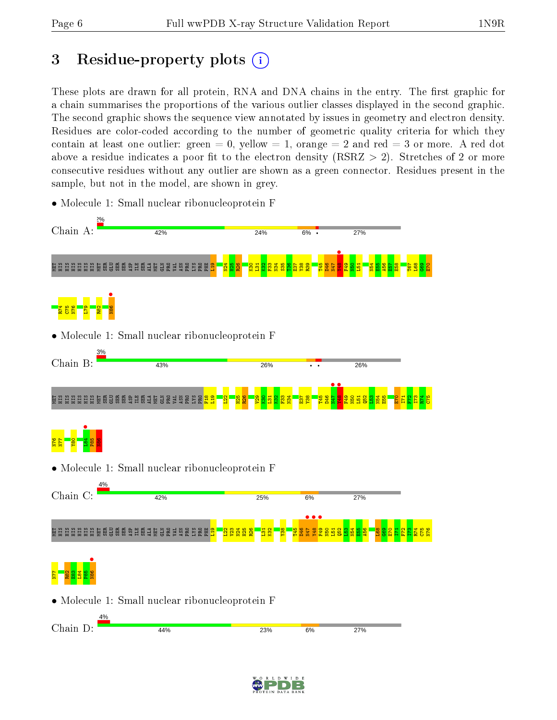## 3 Residue-property plots  $(i)$

These plots are drawn for all protein, RNA and DNA chains in the entry. The first graphic for a chain summarises the proportions of the various outlier classes displayed in the second graphic. The second graphic shows the sequence view annotated by issues in geometry and electron density. Residues are color-coded according to the number of geometric quality criteria for which they contain at least one outlier: green  $= 0$ , yellow  $= 1$ , orange  $= 2$  and red  $= 3$  or more. A red dot above a residue indicates a poor fit to the electron density (RSRZ  $> 2$ ). Stretches of 2 or more consecutive residues without any outlier are shown as a green connector. Residues present in the sample, but not in the model, are shown in grey.



• Molecule 1: Small nuclear ribonucleoprotein F

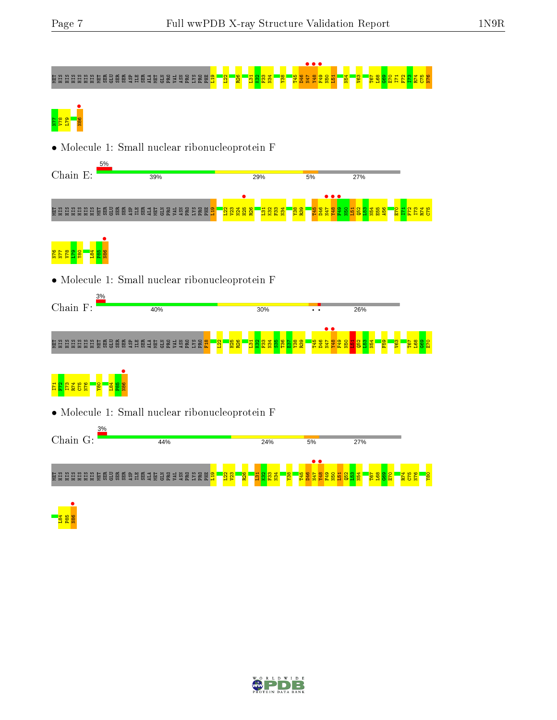# NET HIS HIS HIS HIS SER ASP ILE SER 19 A20 N47 PARA PRO PHE L19 L22 P4 S4 G62 P4 S4 G62 P4 S4 G69 P4 O40 P41 P



• Molecule 1: Small nuclear ribonucleoprotein F



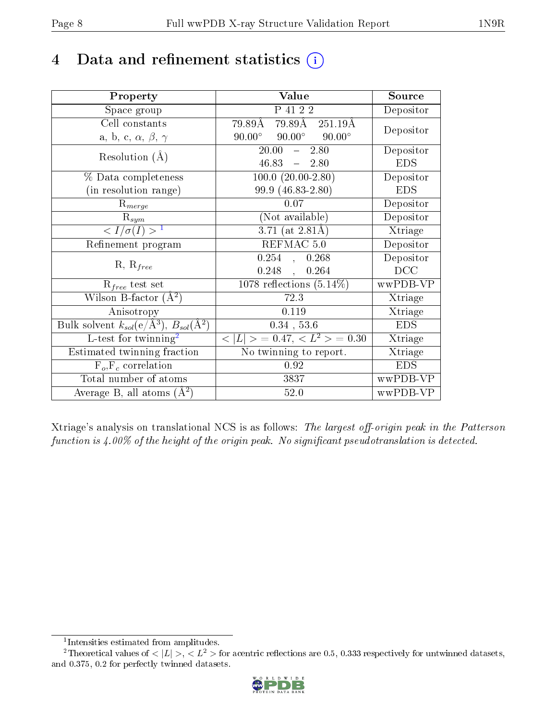## 4 Data and refinement statistics  $(i)$

| Property                                                                | Value                                                     | Source     |
|-------------------------------------------------------------------------|-----------------------------------------------------------|------------|
| Space group                                                             | P 41 2 2                                                  | Depositor  |
| Cell constants                                                          | $79.89\text{\AA}$ $\overline{251.19\text{\AA}}$<br>79.89Å | Depositor  |
| a, b, c, $\alpha$ , $\beta$ , $\gamma$                                  | $90.00^{\circ}$ $90.00^{\circ}$<br>$90.00^\circ$          |            |
| Resolution $(A)$                                                        | $20.00^{-7}$<br>$-2.80$                                   | Depositor  |
|                                                                         | $46.83 - 2.80$                                            | <b>EDS</b> |
| % Data completeness                                                     | $100.0 (20.00 - 2.80)$                                    | Depositor  |
| (in resolution range)                                                   | 99.9 (46.83-2.80)                                         | <b>EDS</b> |
| $R_{merge}$                                                             | 0.07                                                      | Depositor  |
| $\mathrm{R}_{sym}$                                                      | (Not available)                                           | Depositor  |
| $\langle I/\sigma(I) \rangle^{-1}$                                      | $3.71$ (at 2.81Å)                                         | Xtriage    |
| Refinement program                                                      | REFMAC 5.0                                                | Depositor  |
|                                                                         | $0.254$ , $0.268$                                         | Depositor  |
| $R, R_{free}$                                                           | 0.248,<br>0.264                                           | DCC        |
| $R_{free}$ test set                                                     | 1078 reflections $(5.14\%)$                               | wwPDB-VP   |
| Wilson B-factor $(A^2)$                                                 | 72.3                                                      | Xtriage    |
| Anisotropy                                                              | 0.119                                                     | Xtriage    |
| Bulk solvent $k_{sol}(\mathrm{e}/\mathrm{A}^3),\,B_{sol}(\mathrm{A}^2)$ | $0.34$ , 53.6                                             | <b>EDS</b> |
| L-test for twinning <sup>2</sup>                                        | $< L >$ = 0.47, $< L2 >$ = 0.30                           | Xtriage    |
| Estimated twinning fraction                                             | No twinning to report.                                    | Xtriage    |
| $F_o, F_c$ correlation                                                  | 0.92                                                      | <b>EDS</b> |
| Total number of atoms                                                   | 3837                                                      | wwPDB-VP   |
| Average B, all atoms $(A^2)$                                            | 52.0                                                      | wwPDB-VP   |

Xtriage's analysis on translational NCS is as follows: The largest off-origin peak in the Patterson function is  $4.00\%$  of the height of the origin peak. No significant pseudotranslation is detected.

<sup>&</sup>lt;sup>2</sup>Theoretical values of  $\langle |L| \rangle$ ,  $\langle L^2 \rangle$  for acentric reflections are 0.5, 0.333 respectively for untwinned datasets, and 0.375, 0.2 for perfectly twinned datasets.



<span id="page-7-1"></span><span id="page-7-0"></span><sup>1</sup> Intensities estimated from amplitudes.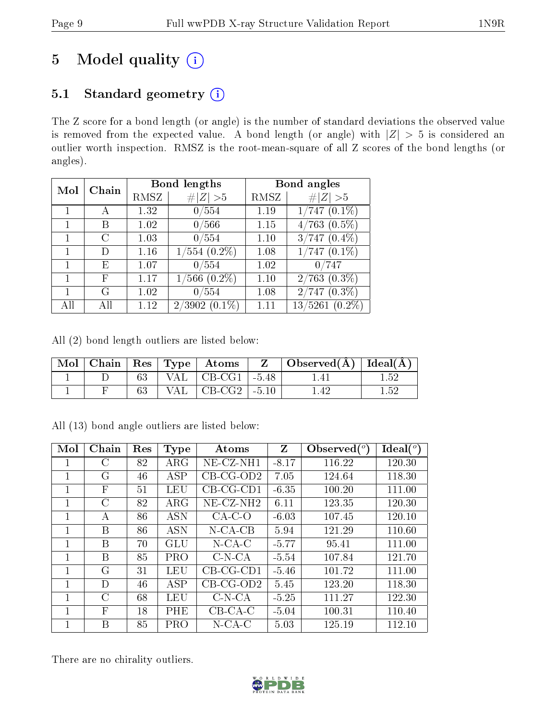## 5 Model quality  $(i)$

## 5.1 Standard geometry (i)

The Z score for a bond length (or angle) is the number of standard deviations the observed value is removed from the expected value. A bond length (or angle) with  $|Z| > 5$  is considered an outlier worth inspection. RMSZ is the root-mean-square of all Z scores of the bond lengths (or angles).

| Mol | Chain                  |      | <b>Bond lengths</b> | Bond angles |                      |  |
|-----|------------------------|------|---------------------|-------------|----------------------|--|
|     |                        | RMSZ | $\ Z\  > 5$         | RMSZ        | # $ Z >5$            |  |
|     |                        | 1.32 | 0/554               | 1.19        | $1/747(0.1\%)$       |  |
|     | В                      | 1.02 | 0/566               | 1.15        | $4/763$ $(0.5\%)$    |  |
|     | $\left( \cdot \right)$ | 1.03 | 0/554               | 1.10        | $3/747(0.4\%)$       |  |
|     | D                      | 1.16 | $554(0.2\%)$<br>1/  | 1.08        | $1/747(0.1\%)$       |  |
|     | E                      | 1.07 | 0/554               | 1.02        | 0/747                |  |
|     | F                      | 1.17 | $(6.2\%)$<br>$1\,$  | 1.10        | $2/763$ $(0.3\%)$    |  |
|     | G                      | 1.02 | 0/554               | 1.08        | $2/747(0.3\%)$       |  |
|     |                        | 1.12 | $(0.1\%)$<br>2/3902 |             | 13/5261<br>$(0.2\%)$ |  |

All (2) bond length outliers are listed below:

|  |     | Mol   Chain   Res   Type   Atoms | $\mathbf{Z}$ | $\vert$ Observed( $\AA$ ) $\vert$ Ideal( $\AA$ ) |      |
|--|-----|----------------------------------|--------------|--------------------------------------------------|------|
|  |     | VAL $\mid$ CB-CG1 $\mid$ -5.48   |              | .4 I                                             | 159  |
|  | VAL | $\mid$ CB-CG2 $\mid$ -5.10       |              | 142                                              | 1.59 |

| Mol          | Chain        | Res | <b>Type</b> | Atoms                    | Z       | Observed $(°)$ | Ideal $(^\circ)$ |
|--------------|--------------|-----|-------------|--------------------------|---------|----------------|------------------|
| $\mathbf{I}$ | $\rm C$      | 82  | $\rm{ARG}$  | NE-CZ-NH1                | $-8.17$ | 116.22         | 120.30           |
| 1            | G            | 46  | ASP         | $CB-CG-OD2$              | 7.05    | 124.64         | 118.30           |
| 1            | $\mathbf{F}$ | 51  | LEU         | $CB-CG-CD1$              | $-6.35$ | 100.20         | 111.00           |
| 1            | C            | 82  | $\rm{ARG}$  | $NE$ -CZ-NH <sub>2</sub> | 6.11    | 123.35         | 120.30           |
| 1            | А            | 86  | <b>ASN</b>  | $CA-C-O$                 | $-6.03$ | 107.45         | 120.10           |
| 1            | B            | 86  | <b>ASN</b>  | $N$ -CA-CB               | 5.94    | 121.29         | 110.60           |
| 1            | B            | 70  | GLU         | $N$ -CA-C                | $-5.77$ | 95.41          | 111.00           |
| 1            | В            | 85  | PRO         | $C-N-CA$                 | $-5.54$ | 107.84         | 121.70           |
| 1            | G            | 31  | LEU         | $CB-CG-CD1$              | $-5.46$ | 101.72         | 111.00           |
| 1            | D            | 46  | ASP         | $CB-CG-OD2$              | 5.45    | 123.20         | 118.30           |
| 1            | С            | 68  | LEU         | $C-N-CA$                 | $-5.25$ | 111.27         | 122.30           |
|              | $\mathbf{F}$ | 18  | PHE         | $CB-CA-C$                | $-5.04$ | 100.31         | 110.40           |
| 1            | В            | 85  | PRO         | $N$ -CA-C                | 5.03    | 125.19         | 112.10           |

All (13) bond angle outliers are listed below:

There are no chirality outliers.

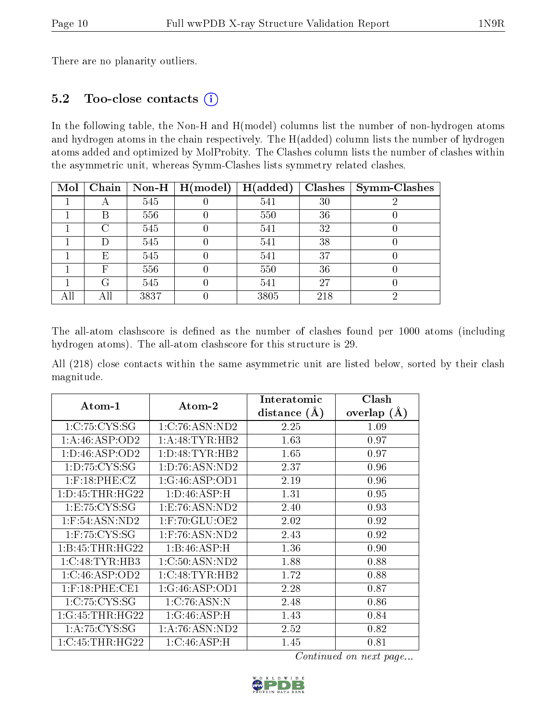There are no planarity outliers.

### 5.2 Too-close contacts (i)

In the following table, the Non-H and H(model) columns list the number of non-hydrogen atoms and hydrogen atoms in the chain respectively. The H(added) column lists the number of hydrogen atoms added and optimized by MolProbity. The Clashes column lists the number of clashes within the asymmetric unit, whereas Symm-Clashes lists symmetry related clashes.

| Mol | Chain |      | Non-H $\mid$ H(model) | H(added) | <b>Clashes</b> | <b>Symm-Clashes</b> |
|-----|-------|------|-----------------------|----------|----------------|---------------------|
|     |       | 545  |                       | 541      | 30             |                     |
|     | В     | 556  |                       | 550      | 36             |                     |
|     | C     | 545  |                       | 541      | 32             |                     |
|     |       | 545  |                       | 541      | 38             |                     |
|     | Ε     | 545  |                       | 541      | 37             |                     |
|     | F     | 556  |                       | 550      | 36             |                     |
|     | G     | 545  |                       | 541      | 27             |                     |
| All | All   | 3837 |                       | 3805     | 218            |                     |

The all-atom clashscore is defined as the number of clashes found per 1000 atoms (including hydrogen atoms). The all-atom clashscore for this structure is 29.

All (218) close contacts within the same asymmetric unit are listed below, sorted by their clash magnitude.

| Atom-1              | Atom-2             | Interatomic    | Clash         |
|---------------------|--------------------|----------------|---------------|
|                     |                    | distance $(A)$ | overlap $(A)$ |
| 1:C:75:CYS:SG       | 1:C:76:ASN:ND2     | 2.25           | 1.09          |
| 1: A:46: ASP:OD2    | 1: A:48: TYR: HB2  | 1.63           | 0.97          |
| 1: D: 46: ASP: OD2  | 1: D: 48: TYR: HB2 | 1.65           | 0.97          |
| 1: D: 75: CYS: SG   | 1: D: 76: ASN: ND2 | 2.37           | 0.96          |
| $1:$ F:18:PHE:CZ    | 1:G:46:ASP:OD1     | 2.19           | 0.96          |
| 1: D: 45: THR: HG22 | 1: D: 46: ASP:H    | 1.31           | 0.95          |
| 1: E: 75: CYS: SG   | 1: E: 76: ASN: ND2 | 2.40           | 0.93          |
| $1:$ F:54:ASN:ND2   | $1:$ F:70:GLU:OE2  | 2.02           | 0.92          |
| $1:$ F:75:CYS:SG    | $1:$ F:76:ASN:ND2  | 2.43           | 0.92          |
| 1: B: 45: THR: HG22 | 1:B:46:ASP:H       | 1.36           | 0.90          |
| 1:C:48:TYR:HB3      | 1:C:50:ASN:ND2     | 1.88           | 0.88          |
| 1:C:46:ASP:OD2      | 1:C:48:TYR:HB2     | 1.72           | 0.88          |
| $1:$ F:18:PHE:CE1   | 1:G:46:ASP:OD1     | 2.28           | 0.87          |
| 1:C:75:CYS:SG       | 1:C:76:ASN:N       | 2.48           | 0.86          |
| 1:G:45:THR:HG22     | 1:G:46:ASP:H       | 1.43           | 0.84          |
| 1: A:75: CYS:SG     | 1: A:76: ASN:ND2   | 2.52           | 0.82          |
| 1:C:45:THR:HG22     | 1:C:46:ASP:H       | 1.45           | 0.81          |

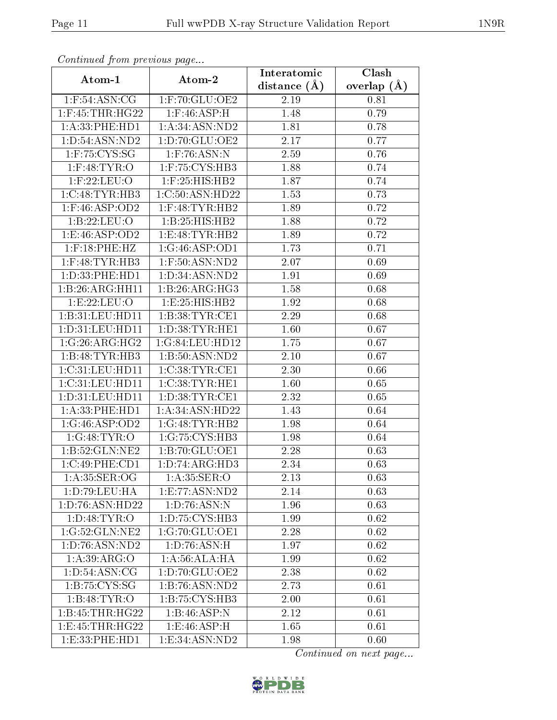| Continued from previous page |                               | Interatomic    | Clash         |  |
|------------------------------|-------------------------------|----------------|---------------|--|
| Atom-1                       | Atom-2                        | distance $(A)$ | overlap $(A)$ |  |
| $1:$ F:54:ASN:CG             | 1:F:70:GLU:OE2                | 2.19           | 0.81          |  |
| $1:$ F:45:THR:HG22           | $1:$ F:46:ASP:H               | 1.48           | 0.79          |  |
| 1: A:33: PHE: HD1            | 1: A:34: ASN:ND2              | 1.81           | 0.78          |  |
| 1: D: 54: ASN: ND2           | 1:D:70:GLU:OE2                | 2.17           | 0.77          |  |
| $1:$ F:75:CYS:SG             | $1:$ F:76:ASN:N               | 2.59           | 0.76          |  |
| $1:$ F:48:TYR:O              | 1:F:75:CYS:HB3                | 1.88           | 0.74          |  |
| $1:$ F:22:LEU:O              | $1:$ F:25:HIS:HB2             | 1.87           | 0.74          |  |
| $1:C:48:TYR:H\overline{B3}$  | 1:C:50:ASN:HD22               | 1.53           | 0.73          |  |
| $1:$ F:46:ASP:OD2            | $1:$ F:48:TYR:HB2             | 1.89           | 0.72          |  |
| 1:B:22:LEU:O                 | 1:B:25:HIS:HB2                | 1.88           | 0.72          |  |
| 1:E:46:ASP:OD2               | 1:E:48:TYR:HB2                | 1.89           | 0.72          |  |
| $1:$ F:18:PHE:HZ             | 1:G:46:ASP:OD1                | 1.73           | 0.71          |  |
| $1:$ F:48:TYR:HB3            | $1:$ F:50:ASN:ND2             | 2.07           | 0.69          |  |
| 1:D:33:PHE:HD1               | 1:D:34:ASN:ND2                | 1.91           | 0.69          |  |
| 1:B:26:ARG:HH11              | 1:B:26:ARG:HG3                | 1.58           | 0.68          |  |
| 1:E:22:EU:O                  | 1:E:25:HIS:HB2                | 1.92           | 0.68          |  |
| 1:B:31:LEU:HD11              | 1:B:38:TYR:CE1                | 2.29           | 0.68          |  |
| 1: D: 31: LEU: HD11          | 1: D: 38: TYR: HE1            | 1.60           | 0.67          |  |
| 1:G:26:ARG:HG2               | 1:G:84:LEU:HD12               | 1.75           | 0.67          |  |
| 1:B:48:TYR:HB3               | 1:B:50:ASN:ND2                | 2.10           | 0.67          |  |
| 1:C:31:LEU:HD11              | 1:C:38:TYR:CE1                | 2.30           | 0.66          |  |
| 1:C:31:LEU:HD11              | 1:C:38:TYR:HE1                | 1.60           | 0.65          |  |
| $1:$ D:31:LEU:HD11           | 1: D:38: TYR: CE1             | 2.32           | 0.65          |  |
| 1:A:33:PHE:HD1               | 1:A:34:ASN:HD22               | 1.43           | 0.64          |  |
| 1:G:46:ASP:OD2               | 1:G:48:TYR:HB2                | 1.98           | 0.64          |  |
| 1:G:48:TYR:O                 | 1:G:75:CYS:HB3                | 1.98           | 0.64          |  |
| $1:B:52:GLN:N\overline{E2}$  | 1:B:70:GLU:OE1                | 2.28           | 0.63          |  |
| 1:C:49:PHE:CD1               | 1: D: 74: ARG: HD3            | 2.34           | 0.63          |  |
| 1: A:35: SER:OG              | 1: A:35: SER:O                | 2.13           | 0.63          |  |
| 1:D:79:LEU:HA                | 1: E: 77: ASN: ND2            | 2.14           | 0.63          |  |
| 1:D:76:ASN:HD22              | 1:D:76:ASN:N                  | 1.96           | 0.63          |  |
| 1: D: 48: TYR: O             | 1: D: 75: C <sub>YS:HB3</sub> | 1.99           | 0.62          |  |
| 1:G:52:GLN:NE2               | 1:G:70:GLU:OE1                | 2.28           | 0.62          |  |
| 1: D: 76: ASN: ND2           | 1: D:76: ASN:H                | 1.97           | 0.62          |  |
| 1: A:39: ARG:O               | 1: A:56:ALA:HA                | 1.99           | 0.62          |  |
| 1: D: 54: ASN: CG            | 1: D:70: GLU:OE2              | 2.38           | 0.62          |  |
| 1: B: 75: CYS: SG            | 1:B:76:ASN:ND2                | 2.73           | 0.61          |  |
| 1:B:48:TYR:O                 | 1:B:75:CYS:HB3                | 2.00           | 0.61          |  |
| 1:B:45:THR:HG22              | 1:B:46:ASP:N                  | 2.12           | 0.61          |  |
| 1:E:45:THR:HG22              | 1: E:46: ASP:H                | 1.65           | 0.61          |  |
| 1:E:33:PHE:HD1               | 1:E:34:ASN:ND2                | 1.98           | 0.60          |  |

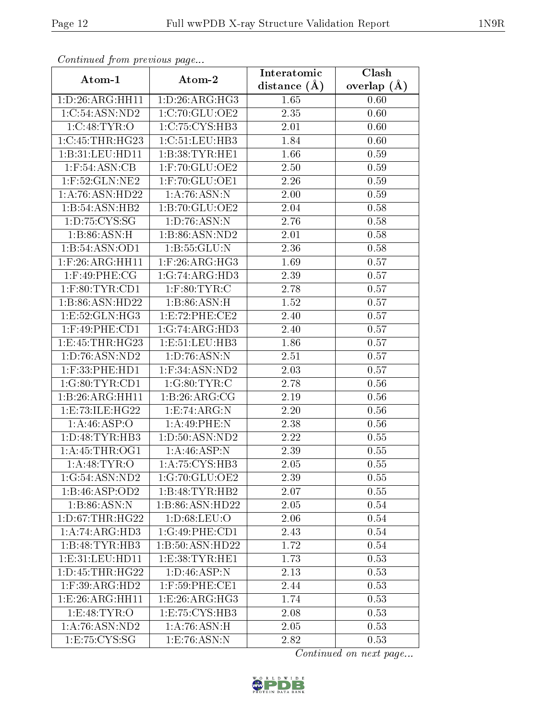| Continuou jiom protivus pugo |                    | Interatomic       | Clash           |  |
|------------------------------|--------------------|-------------------|-----------------|--|
| Atom-1                       | Atom-2             | distance $(\AA)$  | overlap $(\AA)$ |  |
| 1: D:26: ARG:HH11            | 1: D:26: ARG:HG3   | 1.65              | 0.60            |  |
| 1:C:54:ASN:ND2               | 1:C:70:GLU:OE2     | 2.35              | 0.60            |  |
| 1:C:48:TYR:O                 | 1:C:75:CYS:HB3     | 2.01              | 0.60            |  |
| 1:C:45:THR:HG23              | 1:C:51:LEU:HB3     | 1.84              | 0.60            |  |
| 1:B:31:LEU:HD11              | 1:B:38:TYR:HE1     | 1.66              | 0.59            |  |
| $1:$ F:54:ASN:CB             | $1:$ F:70:GLU:OE2  | 2.50              | 0.59            |  |
| $1:$ F:52:GLN:NE2            | 1:F:70:GLU:OE1     | $\overline{2.26}$ | 0.59            |  |
| 1:A:76:ASN:HD22              | 1:A:76:ASN:N       | 2.00              | 0.59            |  |
| 1:B:54:ASN:HB2               | 1:B:70:GLU:OE2     | 2.04              | 0.58            |  |
| 1: D: 75: CYS: SG            | 1: D: 76: ASN: N   | 2.76              | 0.58            |  |
| 1:B:86:ASN:H                 | 1:B:86:ASN:ND2     | 2.01              | 0.58            |  |
| 1:B:54:ASN:OD1               | 1:B:55:GLU:N       | 2.36              | 0.58            |  |
| $1:$ F:26:ARG:HH11           | $1:$ F:26:ARG:HG3  | 1.69              | 0.57            |  |
| $1:$ F:49:PHE:CG             | 1:G:74:ARG:HD3     | 2.39              | 0.57            |  |
| $1:$ F:80:TYR:CD1            | $1:$ F:80:TYR:C    | 2.78              | 0.57            |  |
| 1:B:86:ASN:HD22              | 1:B:86:ASN:H       | 1.52              | 0.57            |  |
| 1: E: 52: GLN: HG3           | 1:E:72:PHE:CE2     | 2.40              | 0.57            |  |
| $1:$ F:49:PHE:CD1            | 1:G:74:ARG:HD3     | 2.40              | 0.57            |  |
| 1:E:45:THR:HG23              | 1:E:51:LEU:HB3     | 1.86              | 0.57            |  |
| 1:D:76:ASN:ND2               | 1: D: 76: ASN: N   | 2.51              | 0.57            |  |
| $1:$ F:33:PHE:HD $1$         | 1:F:34:ASN:ND2     | 2.03              | 0.57            |  |
| 1:G:80:TYR:CD1               | 1:G:80:TYR:C       | 2.78              | 0.56            |  |
| 1:B:26:ARG:HH11              | 1:B:26:ARG:CG      | 2.19              | 0.56            |  |
| 1:E:73:ILE:HG22              | 1:E:74:ARG:N       | 2.20              | 0.56            |  |
| 1: A:46: ASP:O               | 1:A:49:PHE:N       | 2.38              | 0.56            |  |
| 1: D:48: TYR: HB3            | 1: D: 50: ASN: ND2 | 2.22              | 0.55            |  |
| 1: A: 45: THR: OG1           | 1:A:46:ASP:N       | 2.39              | 0.55            |  |
| 1:A:48:TYR:O                 | 1: A:75: CYS:HB3   | 2.05              | 0.55            |  |
| 1:G:54:ASN:ND2               | 1:G:70:GLU:OE2     | 2.39              | 0.55            |  |
| 1:B:46:ASP:OD2               | 1:B:48:TYR:HB2     | 2.07              | 0.55            |  |
| 1:B:86:ASN:N                 | 1:B:86:ASN:HD22    | 2.05              | 0.54            |  |
| 1: D: 67: THR: HG22          | 1: D:68: LEU:O     | 2.06              | 0.54            |  |
| 1:A:74:ARG:HD3               | 1:G:49:PHE:CD1     | 2.43              | 0.54            |  |
| 1:B:48:TYR:HB3               | 1:B:50:ASN:HD22    | 1.72              | $0.54\,$        |  |
| 1: E: 31: LEU: HD11          | 1: E: 38: TYR: HE1 | 1.73              | 0.53            |  |
| 1: D: 45: THR: HG22          | 1: D: 46: ASP: N   | 2.13              | 0.53            |  |
| $1:$ F:39:ARG:HD2            | 1:F:59:PHE:CE1     | 2.44              | 0.53            |  |
| 1:E:26:ARG:HH11              | 1:E:26:ARG:HG3     | 1.74              | 0.53            |  |
| 1:E:48:TYR:O                 | 1:E:75:CYS:HB3     | 2.08              | 0.53            |  |
| 1:A:76:ASN:ND2               | 1:A:76:ASN:H       | 2.05              | 0.53            |  |
| 1: E: 75: CYS:SG             | 1:E:76:ASN:N       | 2.82              | 0.53            |  |

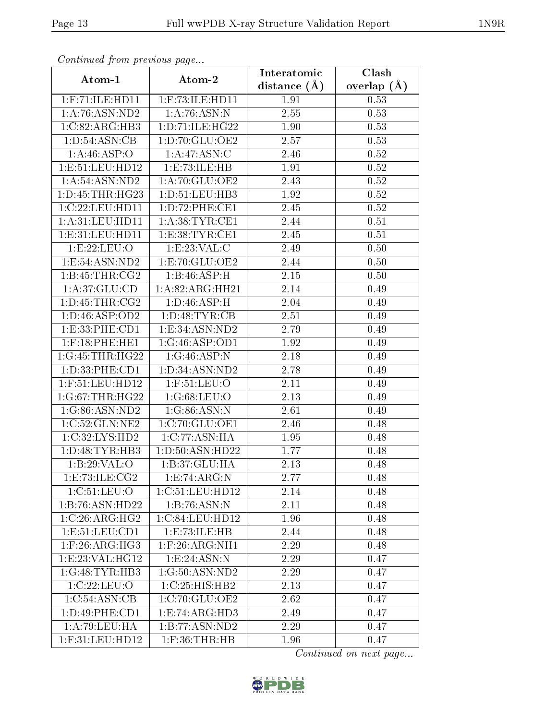| Commaca from previous page          |                           | Interatomic    | Clash           |  |
|-------------------------------------|---------------------------|----------------|-----------------|--|
| Atom-1                              | Atom-2                    | distance $(A)$ | overlap $(\AA)$ |  |
| $1:$ F:71:ILE:HD11                  | $1:$ F:73:ILE:HD11        | 1.91           | 0.53            |  |
| 1:A:76:ASN:ND2                      | 1:A:76:ASN:N              | 2.55           | 0.53            |  |
| 1:C:82:ARG:HB3                      | 1: D: 71: ILE: HG22       | 1.90           | 0.53            |  |
| $1: D:54: \overline{\text{ASN:CB}}$ | 1:D:70:GLU:OE2            | 2.57           | 0.53            |  |
| 1: A:46:ASP:O                       | 1:A:47:ASN:C              | 2.46           | 0.52            |  |
| 1:E:51:LEU:HD12                     | 1:E:73:ILE:HB             | 1.91           | 0.52            |  |
| 1: A:54:ASN:ND2                     | 1:A:70:GLU:OE2            | 2.43           | 0.52            |  |
| 1: D: 45: THR: HG23                 | 1: D: 51: LEU: HB3        | 1.92           | 0.52            |  |
| 1:C:22:LEU:HD11                     | 1:D:72:PHE:CE1            | 2.45           | 0.52            |  |
| 1: A:31: LEU: HD11                  | 1: A:38:TYR:CE1           | 2.44           | 0.51            |  |
| 1: E: 31: LEU: HD11                 | 1:E:38:TYR:CE1            | 2.45           | 0.51            |  |
| 1:E:22:EU:O                         | 1: E: 23: VAL:C           | 2.49           | 0.50            |  |
| 1:E:54:ASN:ND2                      | 1:E:70:GLU:OE2            | 2.44           | 0.50            |  |
| 1:B:45:THR:CG2                      | 1:B:46:ASP:H              | 2.15           | 0.50            |  |
| 1: A:37: GLU:CD                     | 1:A:82:ARG:HH21           | 2.14           | 0.49            |  |
| 1: D: 45: THR: CG2                  | 1:D:46:ASP:H              | 2.04           | 0.49            |  |
| 1: D: 46: ASP: OD2                  | 1:D:48:TYR:CB             | 2.51           | 0.49            |  |
| 1:E:33:PHE:CD1                      | 1: E: 34: ASN: ND2        | 2.79           | 0.49            |  |
| $1:$ F:18:PHE:HE1                   | 1:G:46:ASP:OD1            | 1.92           | 0.49            |  |
| 1:G:45:THR:HG22                     | 1:G:46:ASP:N              | 2.18           | 0.49            |  |
| 1:D:33:PHE:CD1                      | 1:D:34:ASN:ND2            | 2.78           | 0.49            |  |
| $1:$ F:51:LEU:HD12                  | $1:$ F:51:LEU:O           | 2.11           | 0.49            |  |
| 1:G:67:THR:HG22                     | 1:G:68:LEU:O              | 2.13           | 0.49            |  |
| 1:G:86:ASN:ND2                      | 1:G:86:ASN:N              | 2.61           | 0.49            |  |
| 1:C:52:GLN:NE2                      | 1:C:70:GLU:OE1            | 2.46           | 0.48            |  |
| 1:C:32:LYS:HD2                      | 1:C:77:ASN:HA             | 1.95           | 0.48            |  |
| 1: D:48: TYR:HB3                    | 1:D:50:ASN:HD22           | 1.77           | 0.48            |  |
| 1:B:29:VAL:O                        | 1:B:37:GLU:HA             | 2.13           | 0.48            |  |
| 1:E:73:ILE:CG2                      | 1:E:74:ARG:N              | 2.77           | 0.48            |  |
| 1:C:51:LEU:O                        | 1:C:51:LEU:HD12           | 2.14           | 0.48            |  |
| 1:B:76:ASN:HD22                     | $1:B:\overline{76:ASN:N}$ | 2.11           | 0.48            |  |
| 1:C:26:ARG:HG2                      | 1:C:84:LEU:HD12           | 1.96           | 0.48            |  |
| 1: E: 51: LEU: CD1                  | 1:E:73:ILE:HB             | 2.44           | 0.48            |  |
| $1:$ F:26:ARG:HG3                   | $1:$ F:26:ARG:NH $1$      | 2.29           | 0.48            |  |
| 1: E: 23: VAL:HG12                  | 1:E:24:ASN:N              | 2.29           | 0.47            |  |
| 1:G:48:TYR:HB3                      | 1:G:50:ASN:ND2            | 2.29           | 0.47            |  |
| 1:C:22:LEU:O                        | 1:C:25:HIS:HB2            | 2.13           | 0.47            |  |
| 1:C:54:ASN:CB                       | 1:C:70:GLU:OE2            | 2.62           | 0.47            |  |
| 1:D:49:PHE:CD1                      | 1: E: 74: ARG: HD3        | 2.49           | 0.47            |  |
| 1:A:79:LEU:HA                       | 1:B:77:ASN:ND2            | 2.29           | 0.47            |  |
| 1:F:31:LEU:HD12                     | $1:$ F:36:THR:HB          | 1.96           | 0.47            |  |

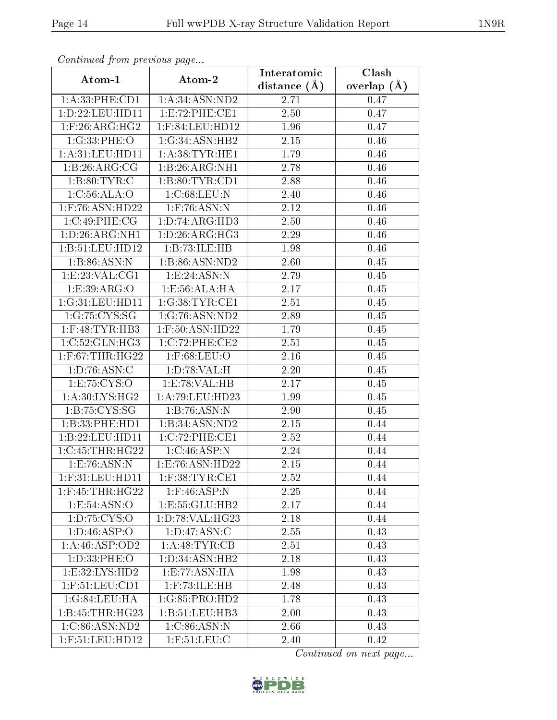| Communica from precious page |                    | Interatomic    | Clash         |
|------------------------------|--------------------|----------------|---------------|
| Atom-1                       | Atom-2             | distance $(A)$ | overlap $(A)$ |
| 1: A:33: PHE:CD1             | 1: A:34: ASN:ND2   | 2.71           | 0.47          |
| 1:D:22:LEU:HD11              | 1: E: 72: PHE: CE1 | 2.50           | 0.47          |
| $1:$ F:26:ARG:HG2            | $1:$ F:84:LEU:HD12 | 1.96           | 0.47          |
| 1:G:33:PHE:O                 | 1:G:34:ASN:HB2     | 2.15           | 0.46          |
| 1: A:31: LEU: HD11           | 1: A:38: TYR: HE1  | 1.79           | 0.46          |
| 1:B:26:ARG:CG                | 1:B:26:ARG:NH1     | 2.78           | 0.46          |
| 1: B:80: TYR: C              | 1:B:80:TYR:CD1     | 2.88           | 0.46          |
| 1: C:56: ALA:O               | 1:C:68:LEU:N       | 2.40           | 0.46          |
| $1:$ F:76:ASN:HD22           | $1:$ F:76:ASN:N    | 2.12           | 0.46          |
| 1:C:49:PHE:CG                | 1: D: 74: ARG: HD3 | 2.50           | 0.46          |
| 1: D:26: ARG: NH1            | 1: D: 26: ARG: HG3 | 2.29           | 0.46          |
| 1:B:51:LEU:HD12              | 1:B:73:ILE:HB      | 1.98           | 0.46          |
| 1:B:86:ASN:N                 | 1:B:86:ASN:ND2     | 2.60           | 0.45          |
| 1: E: 23: VAL: CG1           | 1: E: 24: ASN: N   | 2.79           | 0.45          |
| 1:E:39:ARG:O                 | 1:E:56:ALA:HA      | 2.17           | 0.45          |
| 1:G:31:LEU:HD11              | 1:G:38:TYR:CE1     | 2.51           | 0.45          |
| 1:G:75:CYS:SG                | 1:G:76:ASN:ND2     | 2.89           | 0.45          |
| $1:$ F:48:TYR:HB3            | $1:$ F:50:ASN:HD22 | 1.79           | 0.45          |
| 1:C:52:GLN:HG3               | 1:C:72:PHE:CE2     | 2.51           | 0.45          |
| $1:$ F:67:THR:HG22           | $1:$ F:68:LEU:O    | 2.16           | 0.45          |
| 1: D: 76: ASN: C             | 1: D: 78: VAL:H    | 2.20           | 0.45          |
| 1:E:75:CYS:O                 | 1:E:78:VAL:HB      | 2.17           | 0.45          |
| 1: A:30: LYS: HG2            | 1: A:79: LEU: HD23 | 1.99           | 0.45          |
| 1:B:75:CYS:SG                | 1:B:76:ASN:N       | 2.90           | 0.45          |
| 1:B:33:PHE:HD1               | 1:B:34:ASN:ND2     | $2.15\,$       | 0.44          |
| 1:B:22:LEU:HD11              | 1:C:72:PHE:CE1     | 2.52           | 0.44          |
| 1:C:45:THR:HG22              | 1:C:46:ASP:N       | 2.24           | 0.44          |
| 1:E:76:ASN:N                 | 1:E:76:ASN:HD22    | 2.15           | 0.44          |
| $1:$ F:31:LEU:HD11           | $1:$ F:38:TYR:CE1  | 2.52           | 0.44          |
| $1:$ F:45:THR:HG22           | $1:$ F:46:ASP:N    | 2.25           | 0.44          |
| 1:E:54:ASN:O                 | 1: E: 55: GLU: HB2 | 2.17           | 0.44          |
| 1: D: 75: CYS:O              | 1:D:78:VAL:HG23    | 2.18           | 0.44          |
| 1: D: 46: ASP: O             | 1: D: 47: ASN: C   | 2.55           | 0.43          |
| 1: A:46: ASP:OD2             | 1:A:48:TYR:CB      | 2.51           | 0.43          |
| 1: D: 33: PHE: O             | 1:D:34:ASN:HB2     | 2.18           | 0.43          |
| 1:E:32:LYS:HD2               | 1:E:77:ASN:HA      | 1.98           | 0.43          |
| $1:$ F:51:LEU:CD1            | $1:$ F:73:ILE:HB   | 2.48           | 0.43          |
| 1:G:84:LEU:HA                | 1:G:85:PRO:HD2     | 1.78           | 0.43          |
| 1: B: 45: THR: HG23          | 1:B:51:LEU:HB3     | 2.00           | 0.43          |
| 1:C:86:ASN:ND2               | 1:C:86:ASN:N       | 2.66           | 0.43          |
| 1:F:51:LEU:HD12              | $1:$ F:51:LEU:C    | 2.40           | 0.42          |

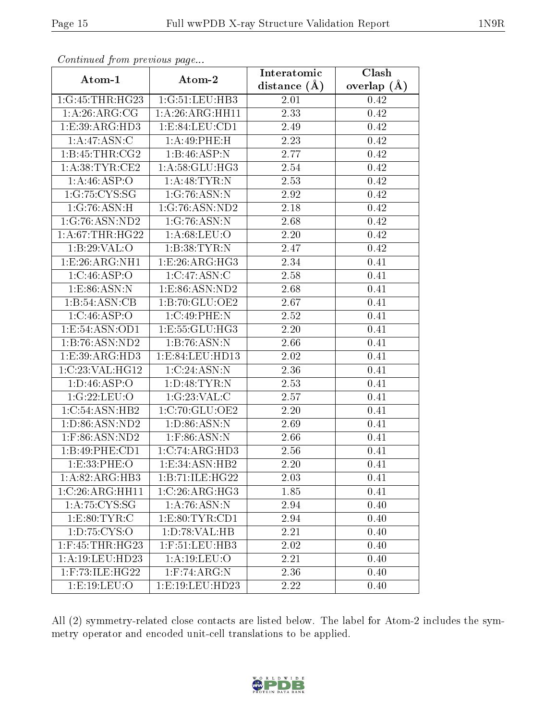| Commaca from previous page       |                                    | Interatomic    | Clash         |
|----------------------------------|------------------------------------|----------------|---------------|
| Atom-1                           | Atom-2                             | distance $(A)$ | overlap $(A)$ |
| 1:G:45:THR:HG23                  | 1:G:51:LEU:HB3                     | 2.01           | 0.42          |
| 1:A:26:ARG:CG                    | 1:A:26:ARG:HH11                    | 2.33           | 0.42          |
| 1:E:39:ARG:HD3                   | 1: E:84:LEU:CD1                    | 2.49           | 0.42          |
| 1:A:47:ASN:C                     | 1:A:49:PHE:H                       | 2.23           | 0.42          |
| 1:B:45:THR:CG2                   | 1:B:46:ASP:N                       | 2.77           | 0.42          |
| 1: A:38:TYR:CE2                  | 1: A:58: GLU:HG3                   | 2.54           | 0.42          |
| 1: A:46:ASP:O                    | 1:A:48:TYR:N                       | 2.53           | 0.42          |
| 1:G:75:CYS:SG                    | 1:G:76:ASN:N                       | 2.92           | 0.42          |
| $1:G:76:\overline{\text{ASN:H}}$ | 1:G:76:ASN:ND2                     | 2.18           | 0.42          |
| 1:G:76:ASN:ND2                   | 1:G:76:ASN:N                       | 2.68           | 0.42          |
| 1: A:67:THR:HG22                 | 1: A:68:LEU:O                      | 2.20           | 0.42          |
| 1:B:29:VAL:O                     | 1:B:38:TYR:N                       | 2.47           | 0.42          |
| 1:E:26:ARG:NH1                   | 1:E:26:ARG:HG3                     | 2.34           | 0.41          |
| 1:C:46:ASP:O                     | 1:C:47:ASN:C                       | 2.58           | 0.41          |
| 1: E: 86: ASN: N                 | 1: E:86: ASN:ND2                   | 2.68           | 0.41          |
| 1:B:54:ASN:CB                    | 1:B:70:GLU:OE2                     | 2.67           | 0.41          |
| 1:C:46:ASP:O                     | 1:C:49:PHE:N                       | 2.52           | 0.41          |
| 1:E:54:ASN:OD1                   | 1:E:55:GLU:HG3                     | 2.20           | 0.41          |
| 1:B:76:ASN:ND2                   | 1:B:76:ASN:N                       | 2.66           | 0.41          |
| 1:E:39:ARG:HD3                   | 1:E:84:LEU:HD13                    | 2.02           | 0.41          |
| 1:C:23:VAL:HG12                  | 1:C:24:ASN:N                       | 2.36           | 0.41          |
| 1: D: 46: ASP: O                 | 1: D:48: TYR:N                     | 2.53           | 0.41          |
| 1:G:22:LEU:O                     | 1:G:23:VAL:C                       | 2.57           | 0.41          |
| 1:C:54:ASN:HB2                   | 1:C:70:GLU:OE2                     | 2.20           | 0.41          |
| 1:D:86:ASN:ND2                   | 1: D:86: ASN: N                    | 2.69           | 0.41          |
| 1:F:86:ASN:ND2                   | $1:$ F:86:ASN:N                    | 2.66           | 0.41          |
| 1:B:49:PHE:CD1                   | 1:C:74:ARG:HD3                     | 2.56           | 0.41          |
| 1: E: 33: PHE: O                 | 1: E:34: ASN:HB2                   | 2.20           | 0.41          |
| 1:A:82:ARG:HB3                   | 1:B:71:ILE:HG22                    | 2.03           | 0.41          |
| $1:C:26:ARG:\overline{HH11}$     | 1:C:26:ARG:HG3                     | 1.85           | 0.41          |
| 1: A:75:CYS:SG                   | 1:A:76:ASN:N                       | 2.94           | 0.40          |
| 1:E:80:TYR:C                     | 1: E: 80: TYR: CD1                 | 2.94           | 0.40          |
| 1: D: 75: CYS:O                  | 1: D:78: VAL:HB                    | 2.21           | 0.40          |
| $1:$ F:45:THR:HG23               | $1:$<br>$F:51:$<br>$LEU:$<br>$HB3$ | 2.02           | 0.40          |
| 1:A:19:LEU:HD23                  | 1: A:19:LEU:O                      | 2.21           | 0.40          |
| $1:$ F:73:ILE:HG22               | $1:$ F:74:ARG:N                    | 2.36           | 0.40          |
| 1: E: 19: LEU: O                 | 1:E:19:LEU:HD23                    | 2.22           | 0.40          |

All (2) symmetry-related close contacts are listed below. The label for Atom-2 includes the symmetry operator and encoded unit-cell translations to be applied.

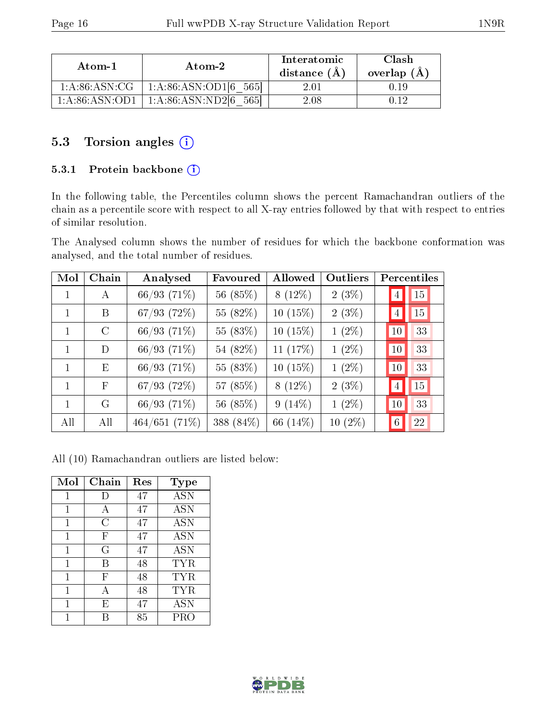| Atom-1           | Atom-2                       | Interatomic<br>distance $(A)$ | Clash<br>overlap $(A)$ |
|------------------|------------------------------|-------------------------------|------------------------|
| 1: A:86: ASN: CG | 1: A:86: ASN:OD1[6]<br>-5651 | 2.01                          |                        |
| 1: A:86: ASN:OD1 | 1: A:86: ASN:ND2[6]<br>5651  | $2.08\,$                      |                        |

### 5.3 Torsion angles (i)

#### 5.3.1 Protein backbone (i)

In the following table, the Percentiles column shows the percent Ramachandran outliers of the chain as a percentile score with respect to all X-ray entries followed by that with respect to entries of similar resolution.

The Analysed column shows the number of residues for which the backbone conformation was analysed, and the total number of residues.

| Mol | Chain        | Analysed         | Favoured  | Allowed    | Outliers  | Percentiles          |
|-----|--------------|------------------|-----------|------------|-----------|----------------------|
| 1   | A            | $66/93$ $(71\%)$ | 56 (85%)  | $8(12\%)$  | $2(3\%)$  | 15<br>$\overline{4}$ |
| 1   | B            | $67/93$ (72%)    | 55 (82%)  | $10(15\%)$ | $2(3\%)$  | 15<br>$\overline{4}$ |
|     | $\rm C$      | 66/93(71%)       | 55 (83%)  | $10(15\%)$ | $1(2\%)$  | 33<br>10             |
| 1   | D            | 66/93(71%)       | 54 (82%)  | 11 $(17%)$ | $1(2\%)$  | 33<br>10             |
| 1   | E            | 66/93 (71%)      | 55 (83%)  | $10(15\%)$ | $1(2\%)$  | 33<br>10             |
| 1   | $\mathbf{F}$ | 67/93 (72%)      | 57 (85%)  | $8(12\%)$  | $2(3\%)$  | 15<br>$\overline{4}$ |
| 1   | G            | 66/93 (71%)      | 56 (85%)  | $9(14\%)$  | $1(2\%)$  | 33<br>10             |
| All | All          | 464/651(71%)     | 388 (84%) | 66 (14%)   | $10(2\%)$ | 22<br>$6\,$          |

All (10) Ramachandran outliers are listed below:

| Mol | Chain      | Res | <b>Type</b> |
|-----|------------|-----|-------------|
| 1   | Ð          | 47  | <b>ASN</b>  |
| 1   | А          | 47  | <b>ASN</b>  |
| 1   | С          | 47  | ASN         |
| 1   | F          | 47  | <b>ASN</b>  |
| 1   | $\rm G$    | 47  | <b>ASN</b>  |
| 1   | В          | 48  | TYR         |
| 1   | $_{\rm F}$ | 48  | TYR         |
| 1   | А          | 48  | TYR         |
| 1   | E          | 47  | <b>ASN</b>  |
|     |            | 85  | PRO         |

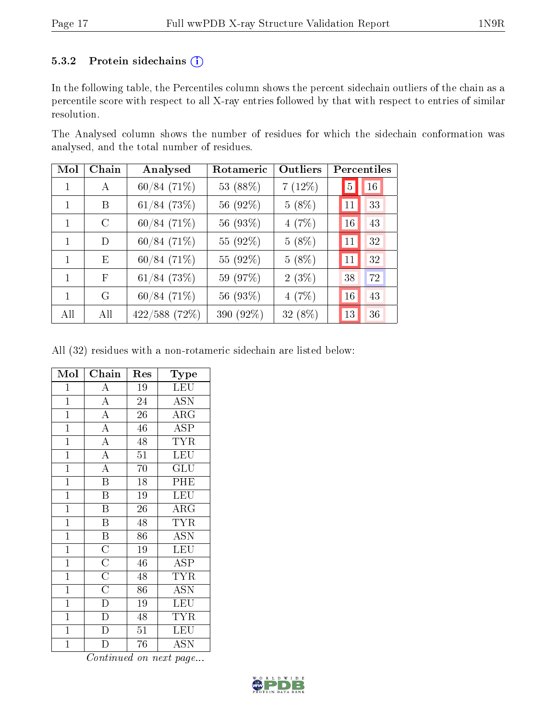#### 5.3.2 Protein sidechains (i)

In the following table, the Percentiles column shows the percent sidechain outliers of the chain as a percentile score with respect to all X-ray entries followed by that with respect to entries of similar resolution.

The Analysed column shows the number of residues for which the sidechain conformation was analysed, and the total number of residues.

| Mol          | Chain | Analysed        | Rotameric | Outliers |                | Percentiles |
|--------------|-------|-----------------|-----------|----------|----------------|-------------|
| 1            | A     | $60/84(71\%)$   | 53 (88%)  | 7(12%)   | $\overline{5}$ | 16          |
| 1            | B     | $61/84$ (73%)   | 56 (92%)  | $5(8\%)$ | 11             | 33          |
| 1            | C     | 60/84(71%)      | 56 (93%)  | 4(7%)    | 16             | 43          |
| 1            | D     | 60/84(71%)      | 55 (92%)  | $5(8\%)$ | 11             | 32          |
| 1            | Ε     | $60/84(71\%)$   | 55 (92%)  | $5(8\%)$ | 11             | 32          |
| $\mathbf{1}$ | F     | $61/84$ (73%)   | 59 (97%)  | $2(3\%)$ | 38             | 72          |
| 1            | G     | $60/84(71\%)$   | 56 (93%)  | 4(7%)    | 16             | 43          |
| All          | All   | $422/588$ (72%) | 390 (92%) | 32 (8%)  | 13             | 36          |

All (32) residues with a non-rotameric sidechain are listed below:

| Mol            | Chain                                             | Res             | Type                      |
|----------------|---------------------------------------------------|-----------------|---------------------------|
| $\overline{1}$ | $\boldsymbol{A}$                                  | 19              | LEU                       |
| $\overline{1}$ | $\overline{A}$                                    | 24              | <b>ASN</b>                |
| $\mathbf{1}$   | $\overline{A}$                                    | 26              | ARG                       |
| $\overline{1}$ | $\overline{A}$                                    | 46              | $\overline{\text{ASP}}$   |
| $\overline{1}$ | $\overline{A}$                                    | 48              | $\overline{\text{TYR}}$   |
| $\overline{1}$ | $\overline{A}$                                    | $\overline{51}$ | $\overline{\text{LEU}}$   |
| $\overline{1}$ | $\overline{A}$                                    | 70              | $\overline{{\rm GLU}}$    |
| $\overline{1}$ | $\overline{\mathrm{B}}$                           | 18              | PHE                       |
| $\overline{1}$ | $\overline{\mathrm{B}}$                           | 19              | LEU                       |
| $\overline{1}$ | $\overline{\text{B}}$                             | 26              | $\overline{\rm{ARG}}$     |
| $\overline{1}$ | $\overline{\mathbf{B}}$                           | 48              | $\overline{\text{TYR}}$   |
| $\mathbf{1}$   | $\overline{\mathbf{B}}$                           | 86              | <b>ASN</b>                |
| $\overline{1}$ |                                                   | 19              | $\overline{\text{LEU}}$   |
| $\overline{1}$ | $\frac{\overline{\text{C}}}{\overline{\text{C}}}$ | 46              | $\overline{ASP}$          |
| $\mathbf{1}$   |                                                   | 48              | $\overline{\text{TYR}}$   |
| $\overline{1}$ | $\overline{\overline{\text{C}}}$                  | $86\,$          | $\overline{\mathrm{ASN}}$ |
| $\mathbf{1}$   | $\overline{D}$                                    | 19              | LEU                       |
| $\overline{1}$ | $\overline{\text{D}}$                             | $\overline{48}$ | <b>TYR</b>                |
| $\mathbf{1}$   | $\overline{D}$                                    | $5\overline{1}$ | <b>LEU</b>                |
| $\overline{1}$ |                                                   | 76              | ĀSN                       |

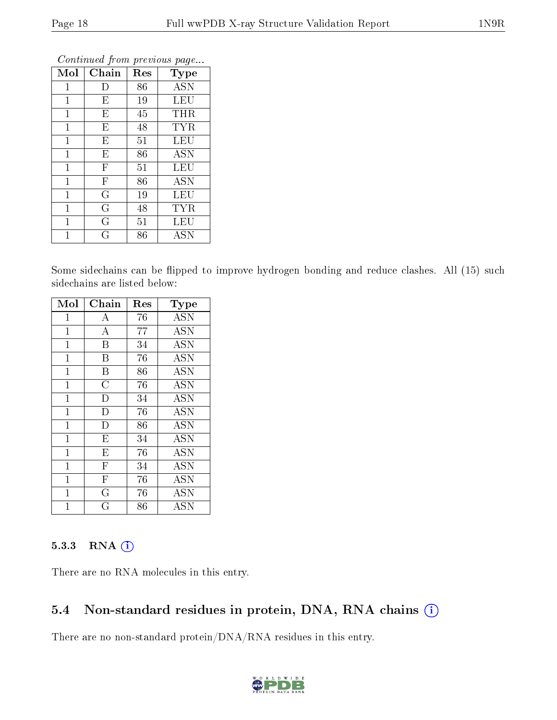| Mol          | Chain                     | Res | Type                    |
|--------------|---------------------------|-----|-------------------------|
| $\mathbf{1}$ | D                         | 86  | <b>ASN</b>              |
| $\mathbf{1}$ | E                         | 19  | LEU                     |
| 1            | E                         | 45  | THR                     |
| 1            | E                         | 48  | TYR                     |
| 1            | E                         | 51  | $\overline{\text{LEU}}$ |
| $\mathbf 1$  | E                         | 86  | <b>ASN</b>              |
| $\mathbf 1$  | $\boldsymbol{\mathrm{F}}$ | 51  | LEU                     |
| $\mathbf{1}$ | $\overline{F}$            | 86  | <b>ASN</b>              |
| $\mathbf{1}$ | G                         | 19  | LEU                     |
| $\mathbf 1$  | G                         | 48  | <b>TYR</b>              |
| 1            | G                         | 51  | LEU                     |
|              | G                         | 86  | <b>ASN</b>              |

Some sidechains can be flipped to improve hydrogen bonding and reduce clashes. All (15) such sidechains are listed below:

| Mol            | Chain                   | $\operatorname{Res}% \left( \mathcal{N}\right) \equiv\operatorname{Res}(\mathcal{N}_{0})\cap\mathcal{N}_{1}$ | Type                               |
|----------------|-------------------------|--------------------------------------------------------------------------------------------------------------|------------------------------------|
| 1              | А                       | 76                                                                                                           | <b>ASN</b>                         |
| $\mathbf 1$    | $\boldsymbol{A}$        | 77                                                                                                           | <b>ASN</b>                         |
| $\mathbf{1}$   | B                       | 34                                                                                                           | <b>ASN</b>                         |
| $\mathbf 1$    | B                       | 76                                                                                                           | <b>ASN</b>                         |
| $\mathbf{1}$   | B                       | 86                                                                                                           | <b>ASN</b>                         |
| $\mathbf{1}$   | $\overline{C}$          | 76                                                                                                           | <b>ASN</b>                         |
| $\mathbf 1$    | D                       | 34                                                                                                           | <b>ASN</b>                         |
| $\mathbf 1$    | D                       | 76                                                                                                           | <b>ASN</b>                         |
| $\overline{1}$ | D                       | 86                                                                                                           | <b>ASN</b>                         |
| $\mathbf{1}$   | $\overline{E}$          | 34                                                                                                           | <b>ASN</b>                         |
| $\mathbf{1}$   | E                       | 76                                                                                                           | <b>ASN</b>                         |
| 1              | $\overline{\mathrm{F}}$ | 34                                                                                                           | $\overline{\mathrm{A}}\mathrm{SN}$ |
| $\overline{1}$ | $\mathbf{F}$            | 76                                                                                                           | <b>ASN</b>                         |
| 1              | G                       | 76                                                                                                           | <b>ASN</b>                         |
| 1              | G                       | 86                                                                                                           | ASN                                |

#### 5.3.3 RNA [O](https://www.wwpdb.org/validation/2017/XrayValidationReportHelp#rna)i

There are no RNA molecules in this entry.

### 5.4 Non-standard residues in protein, DNA, RNA chains (i)

There are no non-standard protein/DNA/RNA residues in this entry.

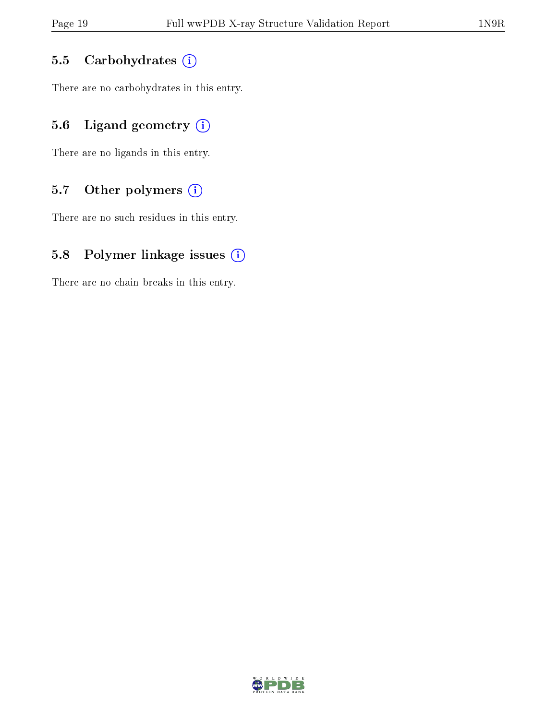#### 5.5 Carbohydrates  $(i)$

There are no carbohydrates in this entry.

## 5.6 Ligand geometry  $(i)$

There are no ligands in this entry.

### 5.7 [O](https://www.wwpdb.org/validation/2017/XrayValidationReportHelp#nonstandard_residues_and_ligands)ther polymers  $(i)$

There are no such residues in this entry.

### 5.8 Polymer linkage issues  $(i)$

There are no chain breaks in this entry.

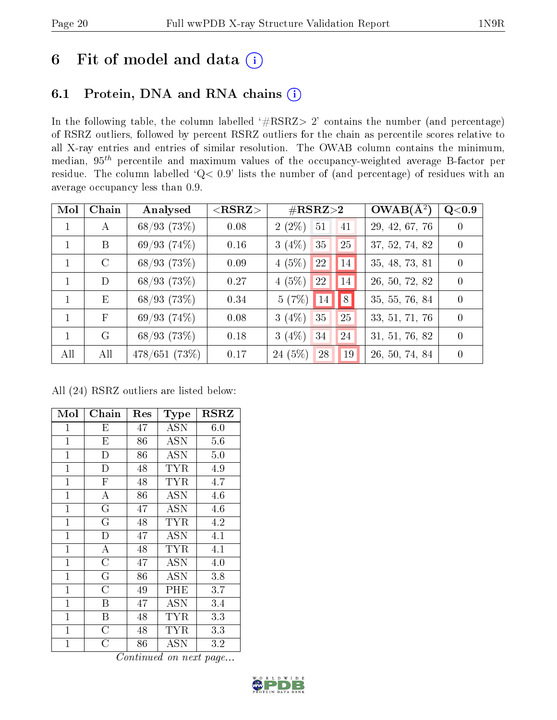## 6 Fit of model and data  $(i)$

## 6.1 Protein, DNA and RNA chains  $(i)$

In the following table, the column labelled  $#RSRZ> 2'$  contains the number (and percentage) of RSRZ outliers, followed by percent RSRZ outliers for the chain as percentile scores relative to all X-ray entries and entries of similar resolution. The OWAB column contains the minimum, median,  $95<sup>th</sup>$  percentile and maximum values of the occupancy-weighted average B-factor per residue. The column labelled ' $Q< 0.9$ ' lists the number of (and percentage) of residues with an average occupancy less than 0.9.

| Mol          | Chain         | Analysed     | ${ <\hspace{-1.5pt}{\mathrm{RSRZ}} \hspace{-1.5pt}>}$ | $\#\text{RSRZ}{>}2$                   | $OWAB(A^2)$    | Q <sub>0.9</sub> |
|--------------|---------------|--------------|-------------------------------------------------------|---------------------------------------|----------------|------------------|
|              | А             | 68/93(73%)   | 0.08                                                  | $2(2\%)$ 51<br>41                     | 29, 42, 67, 76 | $\left( \right)$ |
|              | B             | 69/93(74%)   | 0.16                                                  | 25<br>3(4%)<br>35                     | 37, 52, 74, 82 | $\Omega$         |
|              | $\mathcal{C}$ | 68/93(73%)   | 0.09                                                  | 22<br>4(5%)<br> 14                    | 35, 48, 73, 81 | $\left( \right)$ |
|              | D             | 68/93(73%)   | 0.27                                                  | 4(5%)<br>22<br> 14                    | 26, 50, 72, 82 | $\Omega$         |
|              | Ε             | 68/93(73%)   | 0.34                                                  | $\vert\vert 8 \vert$<br> 14 <br>5(7%) | 35, 55, 76, 84 | $\Omega$         |
| $\mathbf{1}$ | $_{\rm F}$    | 69/93(74%)   | 0.08                                                  | 3(4%)<br>25<br>35                     | 33, 51, 71, 76 | $\Omega$         |
|              | G             | 68/93(73%)   | 0.18                                                  | $3(4\%)$<br>34<br>24                  | 31, 51, 76, 82 | $\Omega$         |
| All          | All           | 478/651(73%) | 0.17                                                  | 24(5%)<br>19<br>28                    | 26, 50, 74, 84 | $\left( \right)$ |

All (24) RSRZ outliers are listed below:

| Mol            | Chain                   | Res | <b>Type</b>          | $_{\rm RSRZ}$ |
|----------------|-------------------------|-----|----------------------|---------------|
| $\mathbf 1$    | E                       | 47  | ASN                  | 6.0           |
| $\mathbf{1}$   | E                       | 86  | ASN                  | 5.6           |
| $\mathbf{1}$   | $\mathbf D$             | 86  | ASN                  | 5.0           |
| $\mathbf{1}$   | $\mathbf D$             | 48  | TYR                  | 4.9           |
| $\mathbf{1}$   | $\overline{\mathrm{F}}$ | 48  | TYR                  | 4.7           |
| $\mathbf{1}$   | $\bf{A}$                | 86  | ASN                  | 4.6           |
| $\overline{1}$ | G                       | 47  | <b>ASN</b>           | 4.6           |
| $\overline{1}$ | G                       | 48  | TYR.                 | 4.2           |
| $\mathbf{1}$   | D                       | 47  | <b>ASN</b>           | 4.1           |
| $\mathbf{1}$   | $\overline{A}$          | 48  | TYR                  | 4.1           |
| $\overline{1}$ | $\overline{\rm C}$      | 47  | <b>ASN</b>           | 4.0           |
| $\mathbf{1}$   | $\overline{G}$          | 86  | ASN                  | 3.8           |
| $\mathbf{1}$   | $\overline{C}$          | 49  | $\rm PHE$            | 3.7           |
| $\mathbf{1}$   | B                       | 47  | <b>ASN</b>           | 3.4           |
| $\overline{1}$ | B                       | 48  | TYR                  | 3.3           |
| $\mathbf{1}$   | $\overline{\rm C}$      | 48  | TYR                  | 3.3           |
| 1              | C                       | 86  | $\operatorname{ASN}$ | 3.2           |